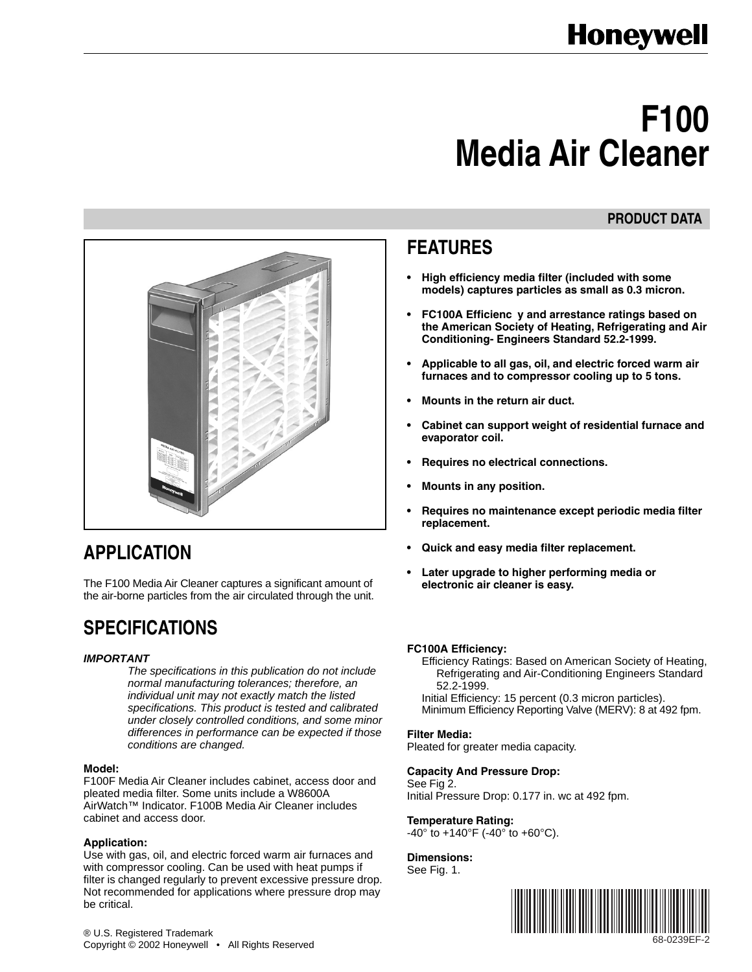# **F100 Media Air Cleaner**

## **PRODUCT DATA**



# **APPLICATION**

The F100 Media Air Cleaner captures a significant amount of the air-borne particles from the air circulated through the unit.

# **SPECIFICATIONS**

## *IMPORTANT*

*The specifications in this publication do not include normal manufacturing tolerances; therefore, an individual unit may not exactly match the listed specifications. This product is tested and calibrated under closely controlled conditions, and some minor differences in performance can be expected if those conditions are changed.*

#### **Model:**

F100F Media Air Cleaner includes cabinet, access door and pleated media filter. Some units include a W8600A AirWatch™ Indicator. F100B Media Air Cleaner includes cabinet and access door.

#### **Application:**

Use with gas, oil, and electric forced warm air furnaces and with compressor cooling. Can be used with heat pumps if filter is changed regularly to prevent excessive pressure drop. Not recommended for applications where pressure drop may be critical.

# **FEATURES**

- **• High efficiency media filter (included with some models) captures particles as small as 0.3 micron.**
- **• FC100A Efficienc y and arrestance ratings based on the American Society of Heating, Refrigerating and Air Conditioning- Engineers Standard 52.2-1999.**
- **• Applicable to all gas, oil, and electric forced warm air furnaces and to compressor cooling up to 5 tons.**
- **• Mounts in the return air duct.**
- **• Cabinet can support weight of residential furnace and evaporator coil.**
- **• Requires no electrical connections.**
- **• Mounts in any position.**
- **• Requires no maintenance except periodic media filter replacement.**
- **• Quick and easy media filter replacement.**
- **• Later upgrade to higher performing media or electronic air cleaner is easy.**

## **FC100A Efficiency:**

Efficiency Ratings: Based on American Society of Heating, Refrigerating and Air-Conditioning Engineers Standard 52.2-1999.

Initial Efficiency: 15 percent (0.3 micron particles). Minimum Efficiency Reporting Valve (MERV): 8 at 492 fpm.

## **Filter Media:**

Pleated for greater media capacity.

## **Capacity And Pressure Drop:**

See Fig 2. Initial Pressure Drop: 0.177 in. wc at 492 fpm.

## **Temperature Rating:**

 $-40^{\circ}$  to  $+140^{\circ}$ F ( $-40^{\circ}$  to  $+60^{\circ}$ C).

**Dimensions:** See Fig. 1.

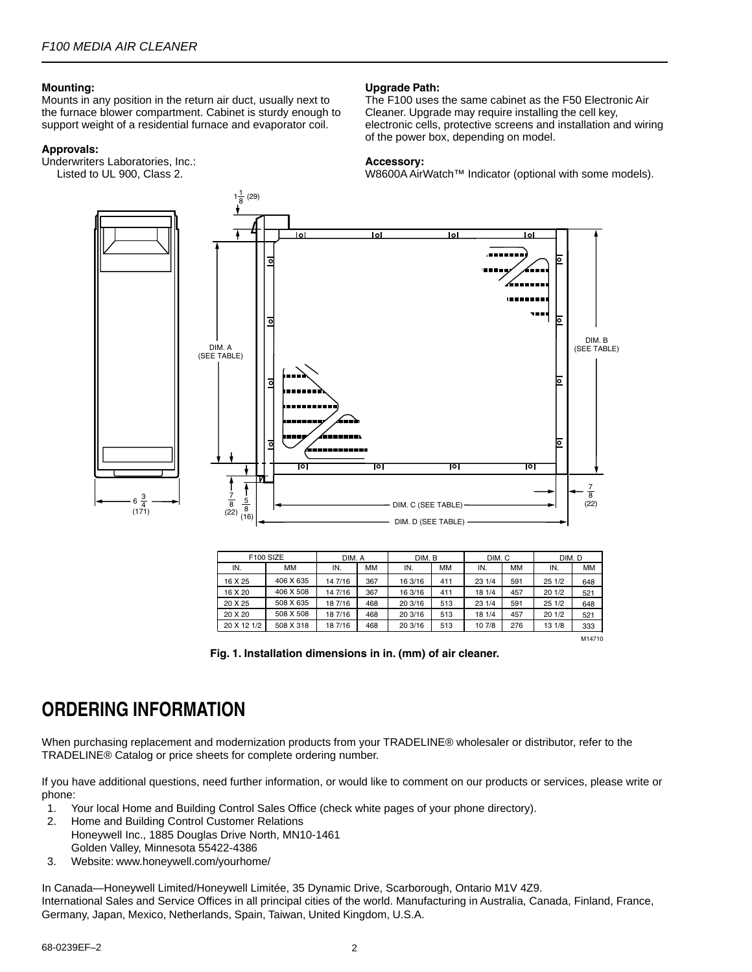#### **Mounting:**

Mounts in any position in the return air duct, usually next to the furnace blower compartment. Cabinet is sturdy enough to support weight of a residential furnace and evaporator coil.

#### **Approvals:**

Underwriters Laboratories, Inc.: Listed to UL 900, Class 2.

#### **Upgrade Path:**

The F100 uses the same cabinet as the F50 Electronic Air Cleaner. Upgrade may require installing the cell key, electronic cells, protective screens and installation and wiring of the power box, depending on model.

#### **Accessory:**

W8600A AirWatch™ Indicator (optional with some models).



| F <sub>100</sub> SIZE |           | DIM. A  |     | DIM. B  |           | DIM. C |           | DIM. D |           |
|-----------------------|-----------|---------|-----|---------|-----------|--------|-----------|--------|-----------|
| IN.                   | MМ        | IN.     | MM  | IN.     | <b>MM</b> | IN.    | <b>MM</b> | IN.    | <b>MM</b> |
| 16 X 25               | 406 X 635 | 14 7/16 | 367 | 16 3/16 | 411       | 23 1/4 | 591       | 251/2  | 648       |
| 16 X 20               | 406 X 508 | 14 7/16 | 367 | 16 3/16 | 411       | 18 1/4 | 457       | 201/2  | 521       |
| 20 X 25               | 508 X 635 | 187/16  | 468 | 20 3/16 | 513       | 23 1/4 | 591       | 251/2  | 648       |
| 20 X 20               | 508 X 508 | 187/16  | 468 | 20 3/16 | 513       | 18 1/4 | 457       | 201/2  | 521       |
| 20 X 12 1/2           | 508 X 318 | 187/16  | 468 | 20 3/16 | 513       | 10 7/8 | 276       | 13 1/8 | 333       |
|                       |           |         |     |         |           |        |           |        | M14710    |



# **ORDERING INFORMATION**

When purchasing replacement and modernization products from your TRADELINE® wholesaler or distributor, refer to the TRADELINE® Catalog or price sheets for complete ordering number.

If you have additional questions, need further information, or would like to comment on our products or services, please write or phone:

- 1. Your local Home and Building Control Sales Office (check white pages of your phone directory).
- 2. Home and Building Control Customer Relations
- Honeywell Inc., 1885 Douglas Drive North, MN10-1461 Golden Valley, Minnesota 55422-4386
- 3. Website: www.honeywell.com/yourhome/

In Canada—Honeywell Limited/Honeywell Limitée, 35 Dynamic Drive, Scarborough, Ontario M1V 4Z9. International Sales and Service Offices in all principal cities of the world. Manufacturing in Australia, Canada, Finland, France, Germany, Japan, Mexico, Netherlands, Spain, Taiwan, United Kingdom, U.S.A.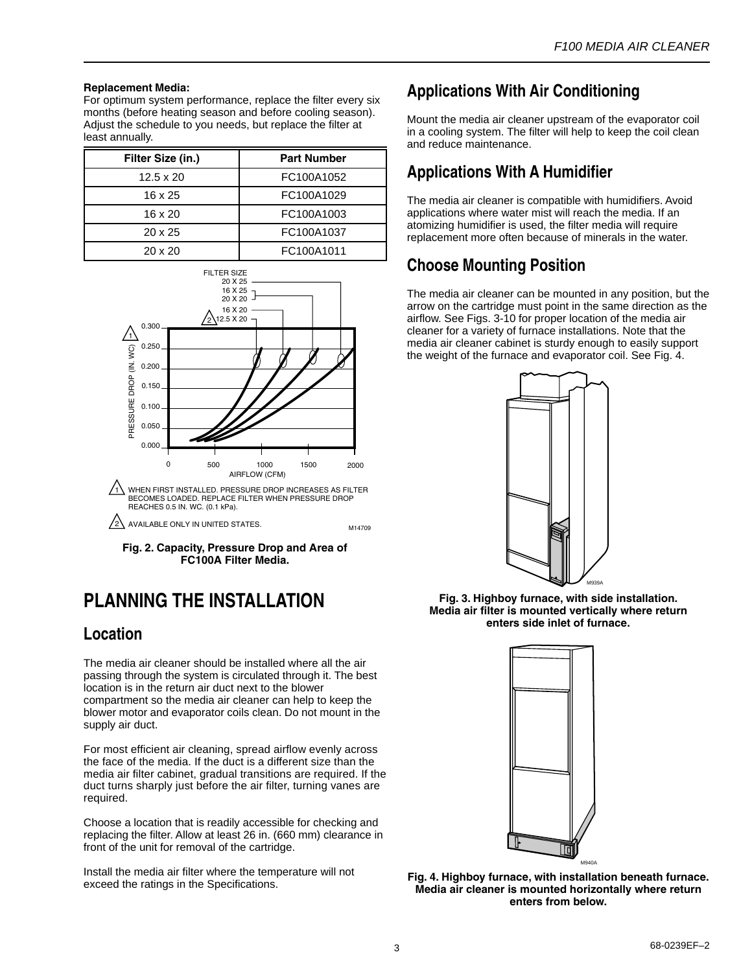#### **Replacement Media:**

For optimum system performance, replace the filter every six months (before heating season and before cooling season). Adjust the schedule to you needs, but replace the filter at least annually.

| Filter Size (in.) | <b>Part Number</b> |
|-------------------|--------------------|
| $12.5 \times 20$  | FC100A1052         |
| 16 x 25           | FC100A1029         |
| $16 \times 20$    | FC100A1003         |
| $20 \times 25$    | FC100A1037         |
| $20 \times 20$    | FC100A1011         |



BECOMES LOADED. REPLACE FILTER WHEN PRESSURE DROP REACHES 0.5 IN. WC. (0.1 kPa).

AVAILABLE ONLY IN UNITED STATES. 2

**Fig. 2. Capacity, Pressure Drop and Area of FC100A Filter Media.**

# **PLANNING THE INSTALLATION**

## **Location**

The media air cleaner should be installed where all the air passing through the system is circulated through it. The best location is in the return air duct next to the blower compartment so the media air cleaner can help to keep the blower motor and evaporator coils clean. Do not mount in the supply air duct.

For most efficient air cleaning, spread airflow evenly across the face of the media. If the duct is a different size than the media air filter cabinet, gradual transitions are required. If the duct turns sharply just before the air filter, turning vanes are required.

Choose a location that is readily accessible for checking and replacing the filter. Allow at least 26 in. (660 mm) clearance in front of the unit for removal of the cartridge.

Install the media air filter where the temperature will not exceed the ratings in the Specifications.

## **Applications With Air Conditioning**

Mount the media air cleaner upstream of the evaporator coil in a cooling system. The filter will help to keep the coil clean and reduce maintenance.

## **Applications With A Humidifier**

The media air cleaner is compatible with humidifiers. Avoid applications where water mist will reach the media. If an atomizing humidifier is used, the filter media will require replacement more often because of minerals in the water.

## **Choose Mounting Position**

The media air cleaner can be mounted in any position, but the arrow on the cartridge must point in the same direction as the airflow. See Figs. 3-10 for proper location of the media air cleaner for a variety of furnace installations. Note that the media air cleaner cabinet is sturdy enough to easily support the weight of the furnace and evaporator coil. See Fig. 4.



**Fig. 3. Highboy furnace, with side installation. Media air filter is mounted vertically where return enters side inlet of furnace.**



Fig. 4. Highboy furnace, with installation beneath furnace. **Media air cleaner is mounted horizontally where return enters from below.**

M14709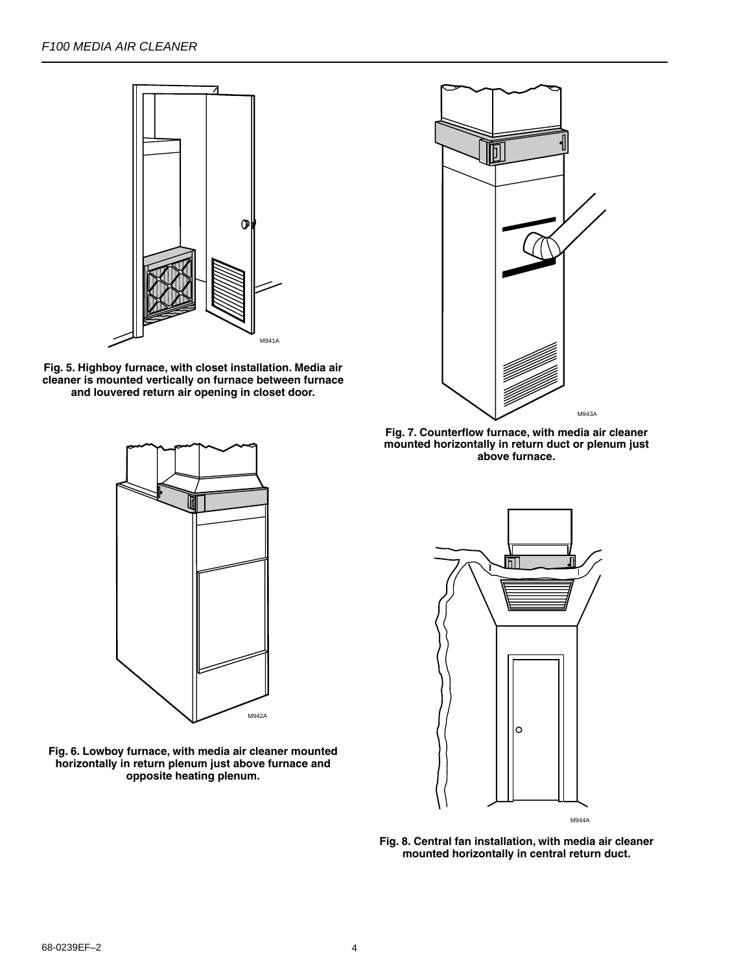

**Fig. 5. Highboy furnace, with closet installation. Media air cleaner is mounted vertically on furnace between furnace and louvered return air opening in closet door.**



**Fig. 7. Counterflow furnace, with media air cleaner mounted horizontally in return duct or plenum just above furnace.**



**Fig. 6. Lowboy furnace, with media air cleaner mounted horizontally in return plenum just above furnace and opposite heating plenum.**



**Fig. 8. Central fan installation, with media air cleaner mounted horizontally in central return duct.**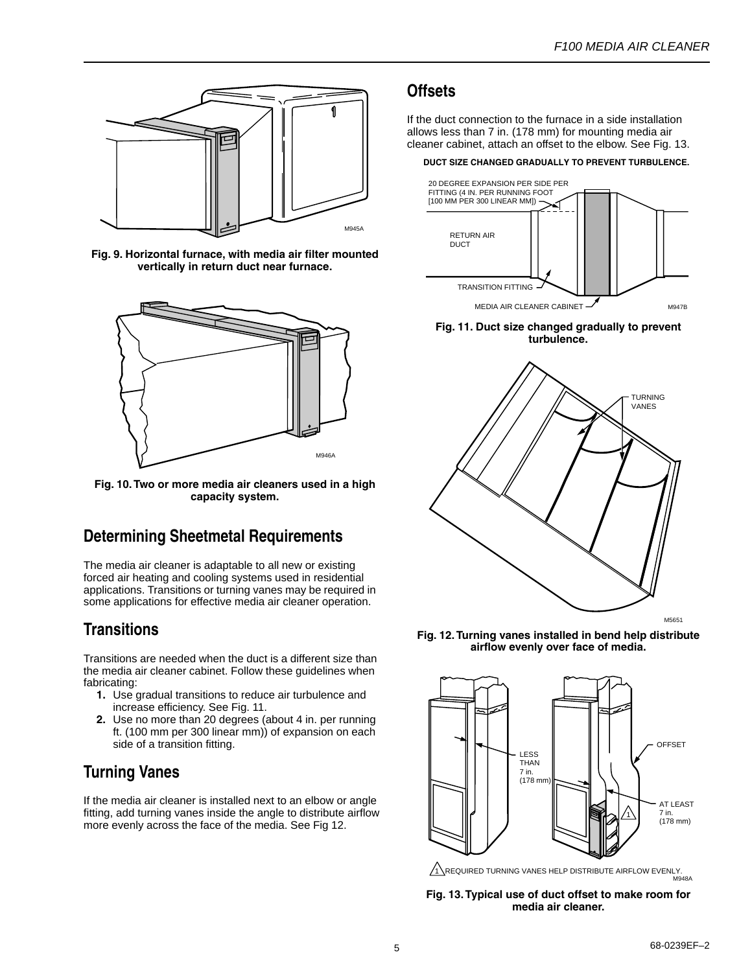

**Fig. 9. Horizontal furnace, with media air filter mounted vertically in return duct near furnace.**



**Fig. 10. Two or more media air cleaners used in a high capacity system.**

## **Determining Sheetmetal Requirements**

The media air cleaner is adaptable to all new or existing forced air heating and cooling systems used in residential applications. Transitions or turning vanes may be required in some applications for effective media air cleaner operation.

## **Transitions**

Transitions are needed when the duct is a different size than the media air cleaner cabinet. Follow these guidelines when fabricating:

- **1.** Use gradual transitions to reduce air turbulence and increase efficiency. See Fig. 11.
- **2.** Use no more than 20 degrees (about 4 in. per running ft. (100 mm per 300 linear mm)) of expansion on each side of a transition fitting.

## **Turning Vanes**

If the media air cleaner is installed next to an elbow or angle fitting, add turning vanes inside the angle to distribute airflow more evenly across the face of the media. See Fig 12.

## **Offsets**

If the duct connection to the furnace in a side installation allows less than 7 in. (178 mm) for mounting media air cleaner cabinet, attach an offset to the elbow. See Fig. 13.

#### **DUCT SIZE CHANGED GRADUALLY TO PREVENT TURBULENCE.**







**Fig. 12. Turning vanes installed in bend help distribute airflow evenly over face of media.**



<u>1 ∖</u>REQUIRED TURNING VANES HELP DISTRIBUTE AIRFLOW EVENLY.<br><sup>M948A</sup>

**Fig. 13. Typical use of duct offset to make room for media air cleaner.**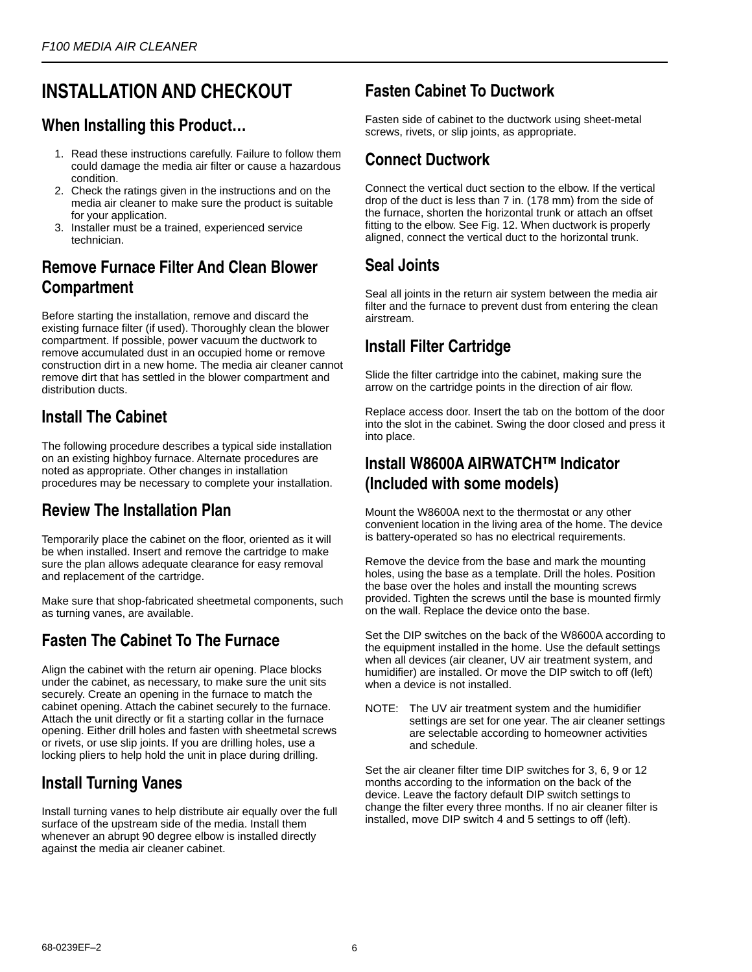# **INSTALLATION AND CHECKOUT**

## **When Installing this Product…**

- 1. Read these instructions carefully. Failure to follow them could damage the media air filter or cause a hazardous condition.
- 2. Check the ratings given in the instructions and on the media air cleaner to make sure the product is suitable for your application.
- 3. Installer must be a trained, experienced service technician.

## **Remove Furnace Filter And Clean Blower Compartment**

Before starting the installation, remove and discard the existing furnace filter (if used). Thoroughly clean the blower compartment. If possible, power vacuum the ductwork to remove accumulated dust in an occupied home or remove construction dirt in a new home. The media air cleaner cannot remove dirt that has settled in the blower compartment and distribution ducts.

## **Install The Cabinet**

The following procedure describes a typical side installation on an existing highboy furnace. Alternate procedures are noted as appropriate. Other changes in installation procedures may be necessary to complete your installation.

## **Review The Installation Plan**

Temporarily place the cabinet on the floor, oriented as it will be when installed. Insert and remove the cartridge to make sure the plan allows adequate clearance for easy removal and replacement of the cartridge.

Make sure that shop-fabricated sheetmetal components, such as turning vanes, are available.

## **Fasten The Cabinet To The Furnace**

Align the cabinet with the return air opening. Place blocks under the cabinet, as necessary, to make sure the unit sits securely. Create an opening in the furnace to match the cabinet opening. Attach the cabinet securely to the furnace. Attach the unit directly or fit a starting collar in the furnace opening. Either drill holes and fasten with sheetmetal screws or rivets, or use slip joints. If you are drilling holes, use a locking pliers to help hold the unit in place during drilling.

## **Install Turning Vanes**

Install turning vanes to help distribute air equally over the full surface of the upstream side of the media. Install them whenever an abrupt 90 degree elbow is installed directly against the media air cleaner cabinet.

## **Fasten Cabinet To Ductwork**

Fasten side of cabinet to the ductwork using sheet-metal screws, rivets, or slip joints, as appropriate.

## **Connect Ductwork**

Connect the vertical duct section to the elbow. If the vertical drop of the duct is less than 7 in. (178 mm) from the side of the furnace, shorten the horizontal trunk or attach an offset fitting to the elbow. See Fig. 12. When ductwork is properly aligned, connect the vertical duct to the horizontal trunk.

## **Seal Joints**

Seal all joints in the return air system between the media air filter and the furnace to prevent dust from entering the clean airstream.

## **Install Filter Cartridge**

Slide the filter cartridge into the cabinet, making sure the arrow on the cartridge points in the direction of air flow.

Replace access door. Insert the tab on the bottom of the door into the slot in the cabinet. Swing the door closed and press it into place.

## **Install W8600A AIRWATCH™ Indicator (Included with some models)**

Mount the W8600A next to the thermostat or any other convenient location in the living area of the home. The device is battery-operated so has no electrical requirements.

Remove the device from the base and mark the mounting holes, using the base as a template. Drill the holes. Position the base over the holes and install the mounting screws provided. Tighten the screws until the base is mounted firmly on the wall. Replace the device onto the base.

Set the DIP switches on the back of the W8600A according to the equipment installed in the home. Use the default settings when all devices (air cleaner, UV air treatment system, and humidifier) are installed. Or move the DIP switch to off (left) when a device is not installed.

NOTE: The UV air treatment system and the humidifier settings are set for one year. The air cleaner settings are selectable according to homeowner activities and schedule.

Set the air cleaner filter time DIP switches for 3, 6, 9 or 12 months according to the information on the back of the device. Leave the factory default DIP switch settings to change the filter every three months. If no air cleaner filter is installed, move DIP switch 4 and 5 settings to off (left).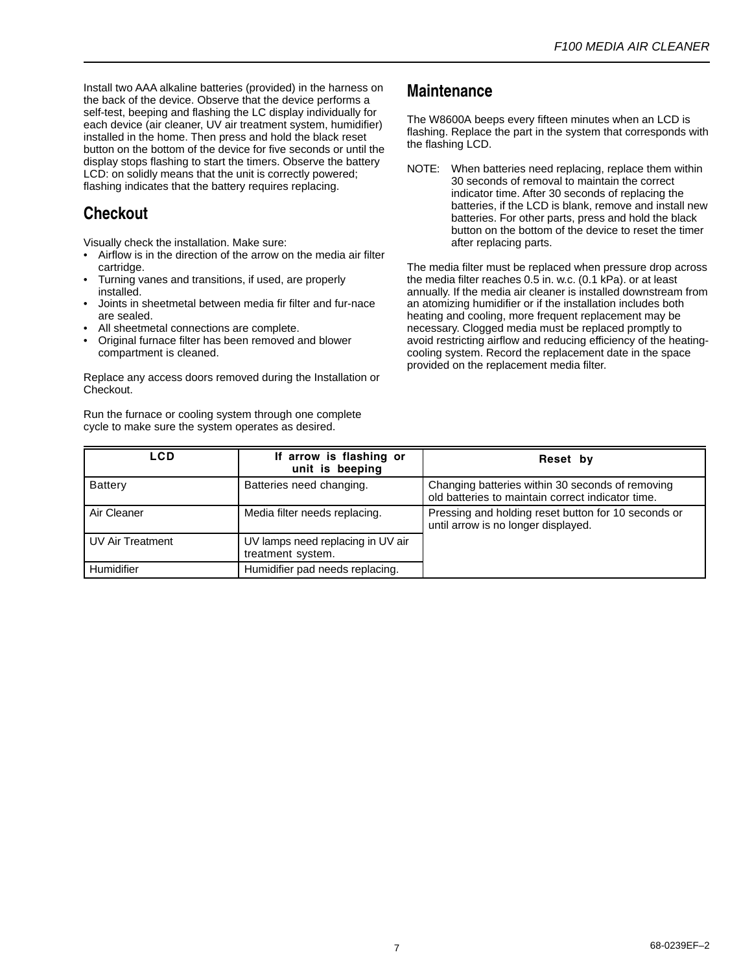Install two AAA alkaline batteries (provided) in the harness on the back of the device. Observe that the device performs a self-test, beeping and flashing the LC display individually for each device (air cleaner, UV air treatment system, humidifier) installed in the home. Then press and hold the black reset button on the bottom of the device for five seconds or until the display stops flashing to start the timers. Observe the battery LCD: on solidly means that the unit is correctly powered; flashing indicates that the battery requires replacing.

## **Checkout**

Visually check the installation. Make sure:

- Airflow is in the direction of the arrow on the media air filter cartridge.
- Turning vanes and transitions, if used, are properly installed.
- Joints in sheetmetal between media fir filter and fur-nace are sealed.
- All sheetmetal connections are complete.
- Original furnace filter has been removed and blower compartment is cleaned.

Replace any access doors removed during the Installation or Checkout.

Run the furnace or cooling system through one complete cycle to make sure the system operates as desired.

## **Maintenance**

The W8600A beeps every fifteen minutes when an LCD is flashing. Replace the part in the system that corresponds with the flashing LCD.

NOTE: When batteries need replacing, replace them within 30 seconds of removal to maintain the correct indicator time. After 30 seconds of replacing the batteries, if the LCD is blank, remove and install new batteries. For other parts, press and hold the black button on the bottom of the device to reset the timer after replacing parts.

The media filter must be replaced when pressure drop across the media filter reaches 0.5 in. w.c. (0.1 kPa). or at least annually. If the media air cleaner is installed downstream from an atomizing humidifier or if the installation includes both heating and cooling, more frequent replacement may be necessary. Clogged media must be replaced promptly to avoid restricting airflow and reducing efficiency of the heatingcooling system. Record the replacement date in the space provided on the replacement media filter.

| <b>LCD</b>              | If arrow is flashing or<br>unit is beeping             | Reset by                                                                                              |
|-------------------------|--------------------------------------------------------|-------------------------------------------------------------------------------------------------------|
| <b>Battery</b>          | Batteries need changing.                               | Changing batteries within 30 seconds of removing<br>old batteries to maintain correct indicator time. |
| Air Cleaner             | Media filter needs replacing.                          | Pressing and holding reset button for 10 seconds or<br>until arrow is no longer displayed.            |
| <b>UV Air Treatment</b> | UV lamps need replacing in UV air<br>treatment system. |                                                                                                       |
| Humidifier              | Humidifier pad needs replacing.                        |                                                                                                       |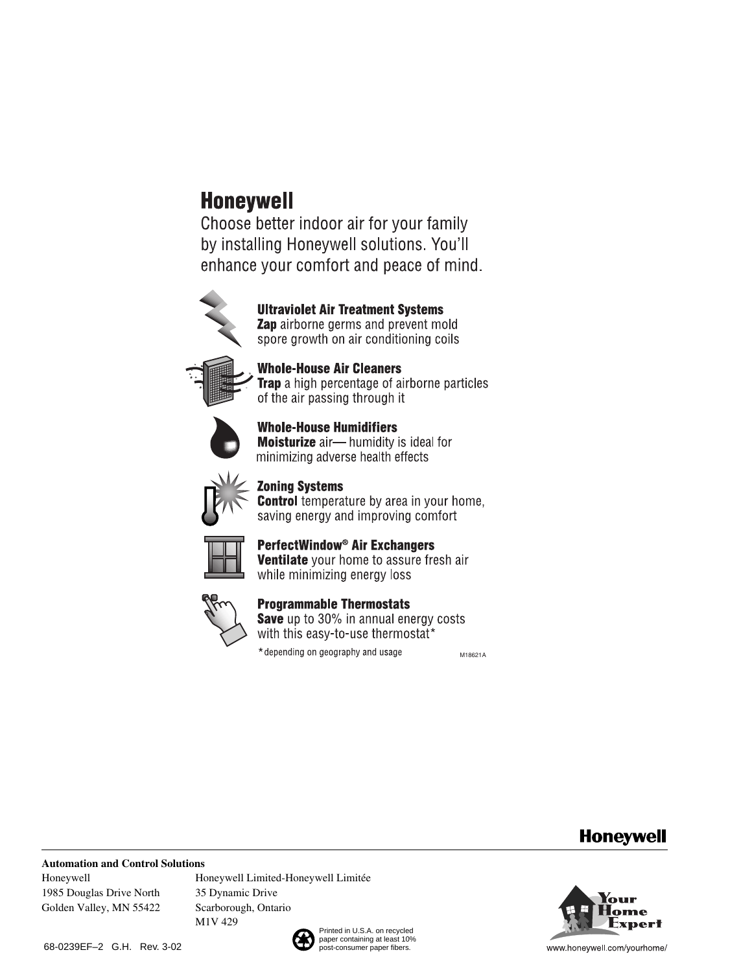# **Honeywell**

Choose better indoor air for your family by installing Honeywell solutions. You'll enhance your comfort and peace of mind.



**Ultraviolet Air Treatment Systems** Zap airborne germs and prevent mold spore growth on air conditioning coils



**Whole-House Air Cleaners Trap** a high percentage of airborne particles of the air passing through it



**Whole-House Humidifiers Moisturize** air-humidity is ideal for minimizing adverse health effects



**Zoning Systems** 

**Control** temperature by area in your home, saving energy and improving comfort



PerfectWindow<sup>®</sup> Air Exchangers Ventilate your home to assure fresh air while minimizing energy loss



## **Programmable Thermostats**

**Save** up to 30% in annual energy costs with this easy-to-use thermostat\*

\*depending on geography and usage

M18621A

## **Honeywell**

#### **Automation and Control Solutions**

Honeywell 1985 Douglas Drive North Golden Valley, MN 55422 Honeywell Limited-Honeywell Limitée 35 Dynamic Drive Scarborough, Ontario M1V 429

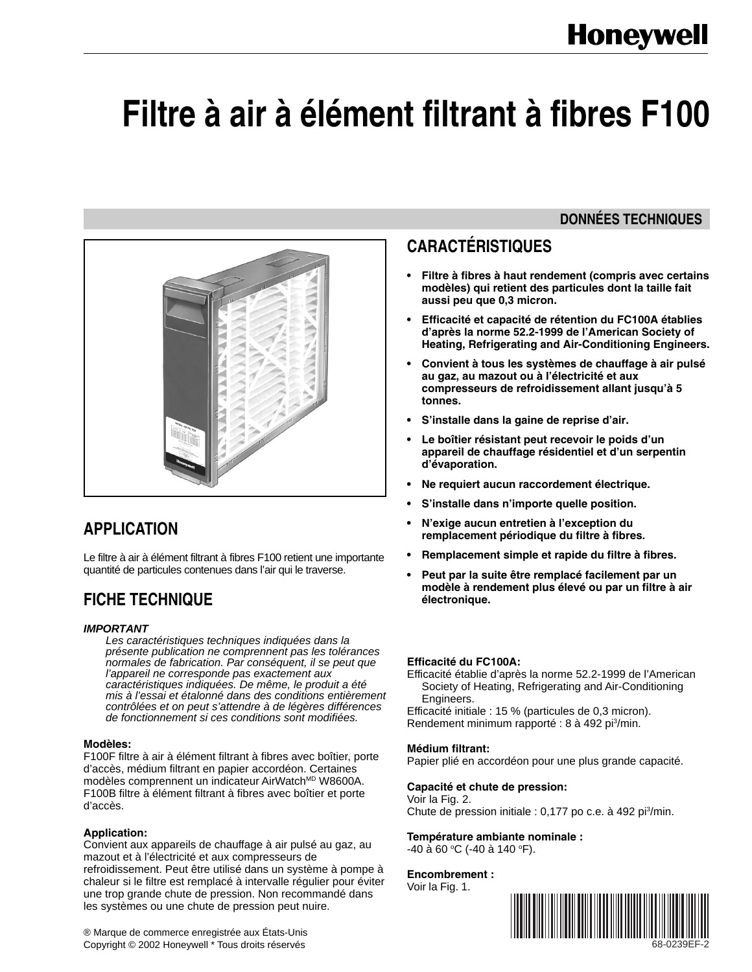# **Filtre à air à élément filtrant à fibres F100**



## **APPLICATION**

Le filtre à air à élément filtrant à fibres F100 retient une importante quantité de particules contenues dans l'air qui le traverse.

## **FICHE TECHNIQUE**

#### *IMPORTANT*

*Les caractéristiques techniques indiquées dans la présente publication ne comprennent pas les tolérances normales de fabrication. Par conséquent, il se peut que l'appareil ne corresponde pas exactement aux caractéristiques indiquées. De même, le produit a été mis à l'essai et étalonné dans des conditions entièrement contrôlées et on peut s'attendre à de légères différences de fonctionnement si ces conditions sont modifiées.*

#### **Modèles:**

F100F filtre à air à élément filtrant à fibres avec boîtier, porte d'accès, médium filtrant en papier accordéon. Certaines modèles comprennent un indicateur AirWatch<sup>MD</sup> W8600A. F100B filtre à élément filtrant à fibres avec boîtier et porte d'accès.

#### **Application:**

Convient aux appareils de chauffage à air pulsé au gaz, au mazout et à l'électricité et aux compresseurs de refroidissement. Peut être utilisé dans un système à pompe à chaleur si le filtre est remplacé à intervalle régulier pour éviter une trop grande chute de pression. Non recommandé dans les systèmes ou une chute de pression peut nuire.

**DONNÉES TECHNIQUES**

# **CARACTÉRISTIQUES**

- **• Filtre à fibres à haut rendement (compris avec certains modèles) qui retient des particules dont la taille fait aussi peu que 0,3 micron.**
- **• Efficacité et capacité de rétention du FC100A établies d'après la norme 52.2-1999 de l'American Society of Heating, Refrigerating and Air-Conditioning Engineers.**
- **• Convient à tous les systèmes de chauffage à air pulsé au gaz, au mazout ou à l'électricité et aux compresseurs de refroidissement allant jusqu'à 5 tonnes.**
- **• S'installe dans la gaine de reprise d'air.**
- **• Le boîtier résistant peut recevoir le poids d'un appareil de chauffage résidentiel et d'un serpentin d'évaporation.**
- **• Ne requiert aucun raccordement électrique.**
- **• S'installe dans n'importe quelle position.**
- **• N'exige aucun entretien à l'exception du remplacement périodique du filtre à fibres.**
- **• Remplacement simple et rapide du filtre à fibres.**
- **• Peut par la suite être remplacé facilement par un modèle à rendement plus élevé ou par un filtre à air électronique.**

#### **Efficacité du FC100A:**

Efficacité établie d'après la norme 52.2-1999 de l'American Society of Heating, Refrigerating and Air-Conditioning Engineers.

Efficacité initiale : 15 % (particules de 0,3 micron). Rendement minimum rapporté : 8 à 492 pi<sup>3</sup>/min.

#### **Médium filtrant:**

Papier plié en accordéon pour une plus grande capacité.

#### **Capacité et chute de pression:**

Voir la Fig. 2. Chute de pression initiale : 0,177 po c.e. à 492 pi<sup>3</sup>/min.

#### **Température ambiante nominale :**

-40 à 60 °C (-40 à 140 °F).

#### **Encombrement :**

Voir la Fig. 1.



® Marque de commerce enregistrée aux États-Unis Copyright © 2002 Honeywell \* Tous droits réservés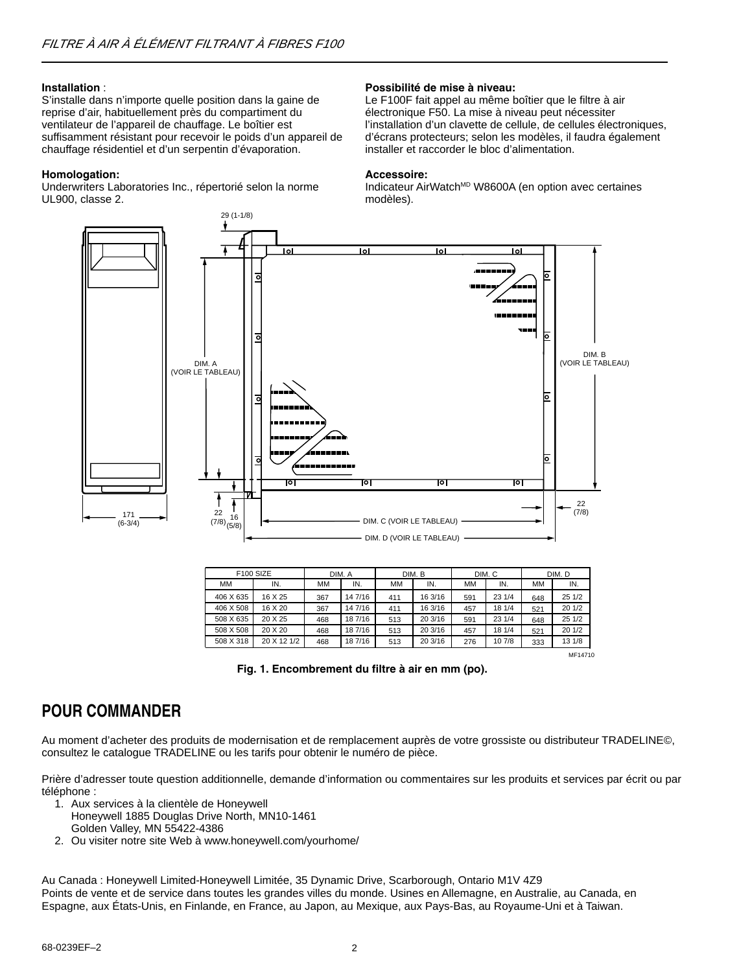#### **Installation** :

S'installe dans n'importe quelle position dans la gaine de reprise d'air, habituellement près du compartiment du ventilateur de l'appareil de chauffage. Le boîtier est suffisamment résistant pour recevoir le poids d'un appareil de chauffage résidentiel et d'un serpentin d'évaporation.

#### **Homologation:**

Underwriters Laboratories Inc., répertorié selon la norme UL900, classe 2.

#### **Possibilité de mise à niveau:**

Le F100F fait appel au même boîtier que le filtre à air électronique F50. La mise à niveau peut nécessiter l'installation d'un clavette de cellule, de cellules électroniques, d'écrans protecteurs; selon les modèles, il faudra également installer et raccorder le bloc d'alimentation.

#### **Accessoire:**

Indicateur AirWatch<sup>MD</sup> W8600A (en option avec certaines modèles).



| F100 SIZE |             | DIM. A<br>DIM. B |         | DIM. C |         | DIM. D |        |           |         |
|-----------|-------------|------------------|---------|--------|---------|--------|--------|-----------|---------|
| MM        | IN.         | MМ               | IN.     | MМ     | IN.     | MМ     | IN.    | <b>MM</b> | IN.     |
| 406 X 635 | 16 X 25     | 367              | 14 7/16 | 411    | 16 3/16 | 591    | 23 1/4 | 648       | 251/2   |
| 406 X 508 | 16 X 20     | 367              | 14 7/16 | 411    | 16 3/16 | 457    | 18 1/4 | 521       | 201/2   |
| 508 X 635 | 20 X 25     | 468              | 18 7/16 | 513    | 20 3/16 | 591    | 23 1/4 | 648       | 251/2   |
| 508 X 508 | 20 X 20     | 468              | 18 7/16 | 513    | 20 3/16 | 457    | 18 1/4 | 521       | 201/2   |
| 508 X 318 | 20 X 12 1/2 | 468              | 18 7/16 | 513    | 20 3/16 | 276    | 10 7/8 | 333       | 13 1/8  |
|           |             |                  |         |        |         |        |        |           | MF14710 |

**Fig. 1. Encombrement du filtre à air en mm (po).**

## **POUR COMMANDER**

Au moment d'acheter des produits de modernisation et de remplacement auprès de votre grossiste ou distributeur TRADELINE©, consultez le catalogue TRADELINE ou les tarifs pour obtenir le numéro de pièce.

Prière d'adresser toute question additionnelle, demande d'information ou commentaires sur les produits et services par écrit ou par téléphone :

- 1. Aux services à la clientèle de Honeywell
	- Honeywell 1885 Douglas Drive North, MN10-1461 Golden Valley, MN 55422-4386
- 2. Ou visiter notre site Web à www.honeywell.com/yourhome/

Au Canada : Honeywell Limited-Honeywell Limitée, 35 Dynamic Drive, Scarborough, Ontario M1V 4Z9 Points de vente et de service dans toutes les grandes villes du monde. Usines en Allemagne, en Australie, au Canada, en Espagne, aux États-Unis, en Finlande, en France, au Japon, au Mexique, aux Pays-Bas, au Royaume-Uni et à Taiwan.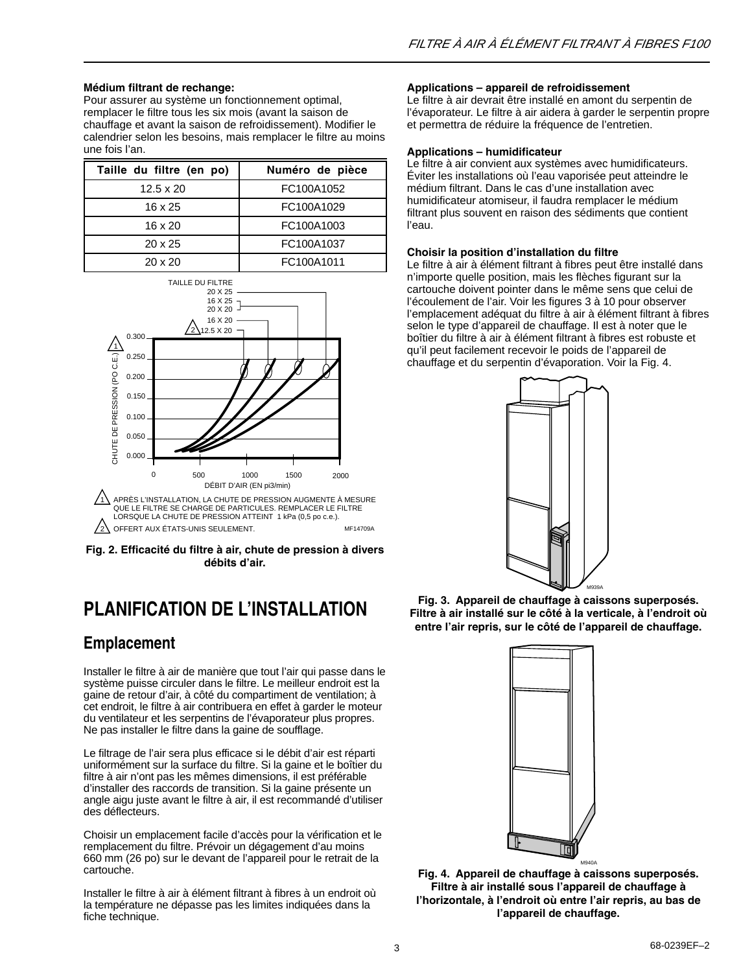#### **Médium filtrant de rechange:**

Pour assurer au système un fonctionnement optimal, remplacer le filtre tous les six mois (avant la saison de chauffage et avant la saison de refroidissement). Modifier le calendrier selon les besoins, mais remplacer le filtre au moins une fois l'an.

| Taille du filtre (en po) | Numéro de pièce |
|--------------------------|-----------------|
| $12.5 \times 20$         | FC100A1052      |
| $16 \times 25$           | FC100A1029      |
| $16 \times 20$           | FC100A1003      |
| $20 \times 25$           | FC100A1037      |
| $20 \times 20$           | FC100A1011      |





# **PLANIFICATION DE L'INSTALLATION**

## **Emplacement**

Installer le filtre à air de manière que tout l'air qui passe dans le système puisse circuler dans le filtre. Le meilleur endroit est la gaine de retour d'air, à côté du compartiment de ventilation; à cet endroit, le filtre à air contribuera en effet à garder le moteur du ventilateur et les serpentins de l'évaporateur plus propres. Ne pas installer le filtre dans la gaine de soufflage.

Le filtrage de l'air sera plus efficace si le débit d'air est réparti uniformément sur la surface du filtre. Si la gaine et le boîtier du filtre à air n'ont pas les mêmes dimensions, il est préférable d'installer des raccords de transition. Si la gaine présente un angle aigu juste avant le filtre à air, il est recommandé d'utiliser des déflecteurs.

Choisir un emplacement facile d'accès pour la vérification et le remplacement du filtre. Prévoir un dégagement d'au moins 660 mm (26 po) sur le devant de l'appareil pour le retrait de la cartouche.

Installer le filtre à air à élément filtrant à fibres à un endroit où la température ne dépasse pas les limites indiquées dans la fiche technique.

#### **Applications – appareil de refroidissement**

Le filtre à air devrait être installé en amont du serpentin de l'évaporateur. Le filtre à air aidera à garder le serpentin propre et permettra de réduire la fréquence de l'entretien.

#### **Applications – humidificateur**

Le filtre à air convient aux systèmes avec humidificateurs. Éviter les installations où l'eau vaporisée peut atteindre le médium filtrant. Dans le cas d'une installation avec humidificateur atomiseur, il faudra remplacer le médium filtrant plus souvent en raison des sédiments que contient l'eau.

#### **Choisir la position d'installation du filtre**

Le filtre à air à élément filtrant à fibres peut être installé dans n'importe quelle position, mais les flèches figurant sur la cartouche doivent pointer dans le même sens que celui de l'écoulement de l'air. Voir les figures 3 à 10 pour observer l'emplacement adéquat du filtre à air à élément filtrant à fibres selon le type d'appareil de chauffage. Il est à noter que le boîtier du filtre à air à élément filtrant à fibres est robuste et qu'il peut facilement recevoir le poids de l'appareil de chauffage et du serpentin d'évaporation. Voir la Fig. 4.



**Fig. 3. Appareil de chauffage à caissons superposés. Filtre à air installé sur le côté à la verticale, à l'endroit où entre l'air repris, sur le côté de l'appareil de chauffage.**



**Fig. 4. Appareil de chauffage à caissons superposés. Filtre à air installé sous l'appareil de chauffage à l'horizontale, à l'endroit où entre l'air repris, au bas de l'appareil de chauffage.**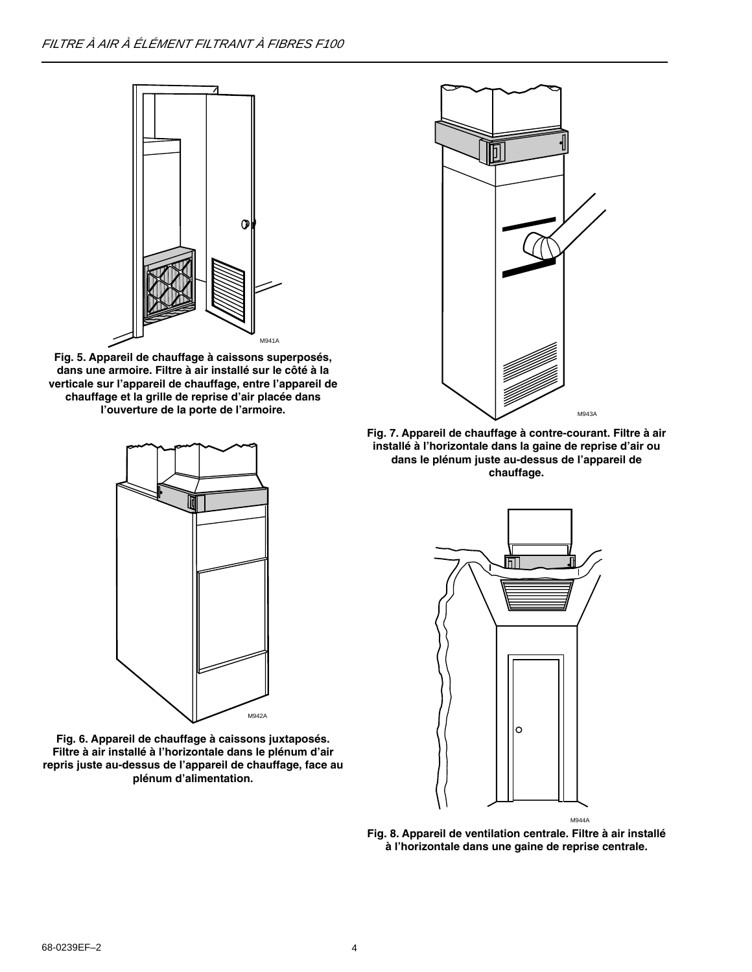

**Fig. 5. Appareil de chauffage à caissons superposés, dans une armoire. Filtre à air installé sur le côté à la verticale sur l'appareil de chauffage, entre l'appareil de chauffage et la grille de reprise d'air placée dans l'ouverture de la porte de l'armoire.**

M942A

**Fig. 6. Appareil de chauffage à caissons juxtaposés. Filtre à air installé à l'horizontale dans le plénum d'air repris juste au-dessus de l'appareil de chauffage, face au plénum d'alimentation.**



**Fig. 7. Appareil de chauffage à contre-courant. Filtre à air installé à l'horizontale dans la gaine de reprise d'air ou dans le plénum juste au-dessus de l'appareil de chauffage.**



**Fig. 8. Appareil de ventilation centrale. Filtre à air installé à l'horizontale dans une gaine de reprise centrale.**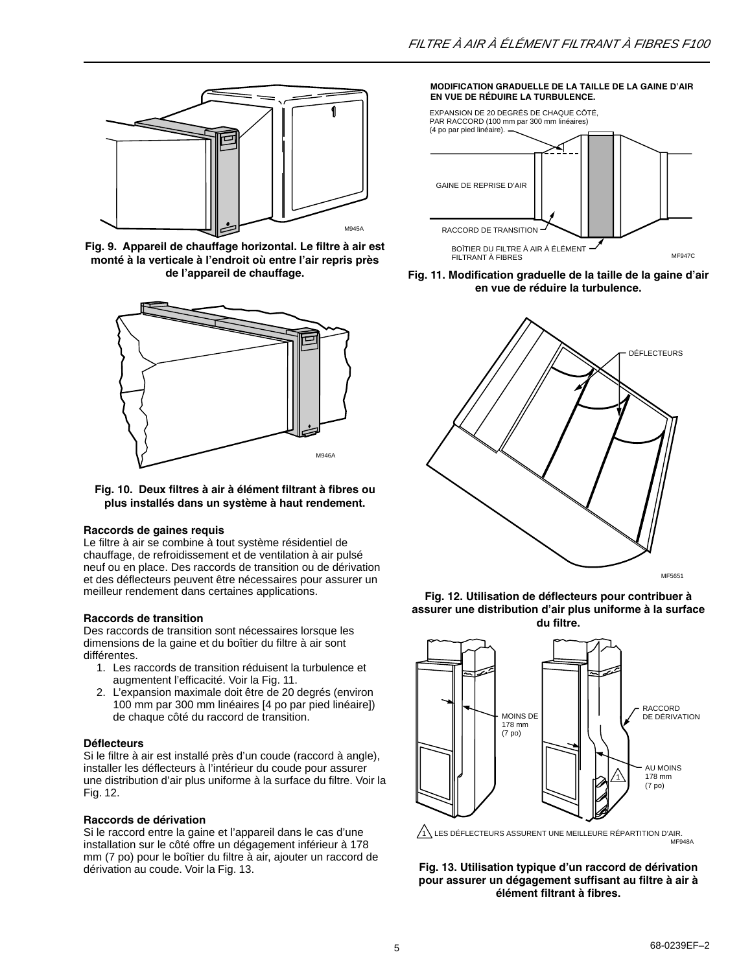

**Fig. 9. Appareil de chauffage horizontal. Le filtre à air est monté à la verticale à l'endroit où entre l'air repris près de l'appareil de chauffage.**



#### **Fig. 10. Deux filtres à air à élément filtrant à fibres ou plus installés dans un système à haut rendement.**

#### **Raccords de gaines requis**

Le filtre à air se combine à tout système résidentiel de chauffage, de refroidissement et de ventilation à air pulsé neuf ou en place. Des raccords de transition ou de dérivation et des déflecteurs peuvent être nécessaires pour assurer un meilleur rendement dans certaines applications.

#### **Raccords de transition**

Des raccords de transition sont nécessaires lorsque les dimensions de la gaine et du boîtier du filtre à air sont différentes.

- 1. Les raccords de transition réduisent la turbulence et augmentent l'efficacité. Voir la Fig. 11.
- 2. L'expansion maximale doit être de 20 degrés (environ 100 mm par 300 mm linéaires [4 po par pied linéaire]) de chaque côté du raccord de transition.

#### **Déflecteurs**

Si le filtre à air est installé près d'un coude (raccord à angle), installer les déflecteurs à l'intérieur du coude pour assurer une distribution d'air plus uniforme à la surface du filtre. Voir la Fig. 12.

#### **Raccords de dérivation**

Si le raccord entre la gaine et l'appareil dans le cas d'une installation sur le côté offre un dégagement inférieur à 178 mm (7 po) pour le boîtier du filtre à air, ajouter un raccord de dérivation au coude. Voir la Fig. 13.

#### **MODIFICATION GRADUELLE DE LA TAILLE DE LA GAINE D'AIR EN VUE DE RÉDUIRE LA TURBULENCE.**



**Fig. 11. Modification graduelle de la taille de la gaine d'air en vue de réduire la turbulence.**



**Fig. 12. Utilisation de déflecteurs pour contribuer à assurer une distribution d'air plus uniforme à la surface du filtre.**



MF948A  $1$  LES DÉFLECTEURS ASSURENT UNE MEILLEURE RÉPARTITION D'AIR.

**Fig. 13. Utilisation typique d'un raccord de dérivation pour assurer un dégagement suffisant au filtre à air à élément filtrant à fibres.**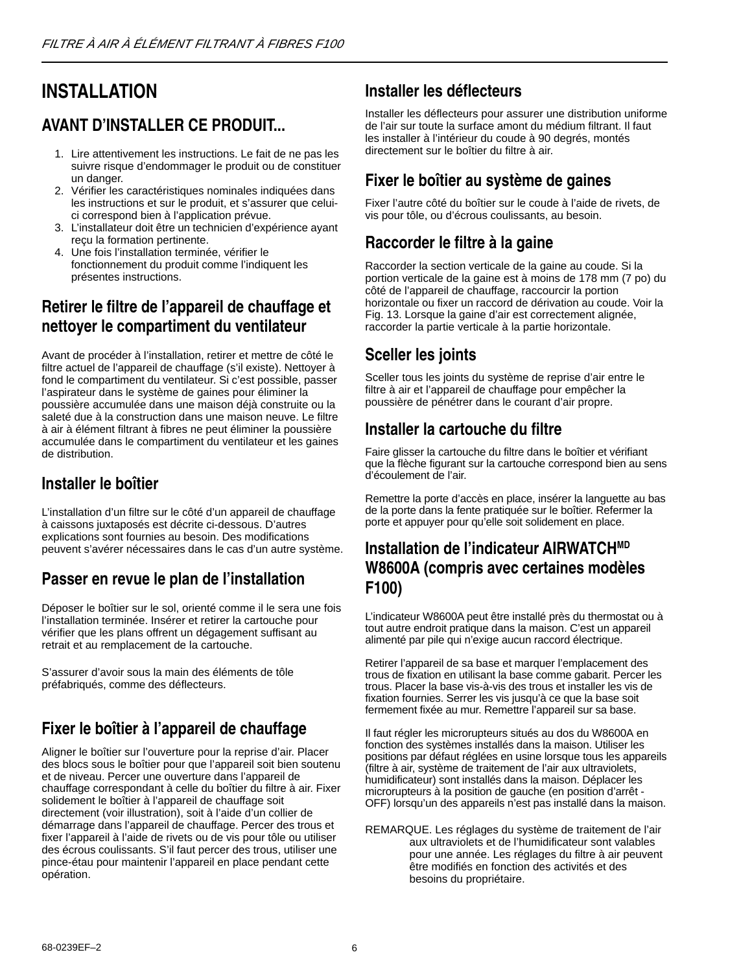# **INSTALLATION**

## **AVANT D'INSTALLER CE PRODUIT...**

- 1. Lire attentivement les instructions. Le fait de ne pas les suivre risque d'endommager le produit ou de constituer un danger.
- 2. Vérifier les caractéristiques nominales indiquées dans les instructions et sur le produit, et s'assurer que celuici correspond bien à l'application prévue.
- 3. L'installateur doit être un technicien d'expérience ayant reçu la formation pertinente.
- 4. Une fois l'installation terminée, vérifier le fonctionnement du produit comme l'indiquent les présentes instructions.

## **Retirer le filtre de l'appareil de chauffage et nettoyer le compartiment du ventilateur**

Avant de procéder à l'installation, retirer et mettre de côté le filtre actuel de l'appareil de chauffage (s'il existe). Nettoyer à fond le compartiment du ventilateur. Si c'est possible, passer l'aspirateur dans le système de gaines pour éliminer la poussière accumulée dans une maison déjà construite ou la saleté due à la construction dans une maison neuve. Le filtre à air à élément filtrant à fibres ne peut éliminer la poussière accumulée dans le compartiment du ventilateur et les gaines de distribution.

## **Installer le boîtier**

L'installation d'un filtre sur le côté d'un appareil de chauffage à caissons juxtaposés est décrite ci-dessous. D'autres explications sont fournies au besoin. Des modifications peuvent s'avérer nécessaires dans le cas d'un autre système.

## **Passer en revue le plan de l'installation**

Déposer le boîtier sur le sol, orienté comme il le sera une fois l'installation terminée. Insérer et retirer la cartouche pour vérifier que les plans offrent un dégagement suffisant au retrait et au remplacement de la cartouche.

S'assurer d'avoir sous la main des éléments de tôle préfabriqués, comme des déflecteurs.

## **Fixer le boîtier à l'appareil de chauffage**

Aligner le boîtier sur l'ouverture pour la reprise d'air. Placer des blocs sous le boîtier pour que l'appareil soit bien soutenu et de niveau. Percer une ouverture dans l'appareil de chauffage correspondant à celle du boîtier du filtre à air. Fixer solidement le boîtier à l'appareil de chauffage soit directement (voir illustration), soit à l'aide d'un collier de démarrage dans l'appareil de chauffage. Percer des trous et fixer l'appareil à l'aide de rivets ou de vis pour tôle ou utiliser des écrous coulissants. S'il faut percer des trous, utiliser une pince-étau pour maintenir l'appareil en place pendant cette opération.

## **Installer les déflecteurs**

Installer les déflecteurs pour assurer une distribution uniforme de l'air sur toute la surface amont du médium filtrant. Il faut les installer à l'intérieur du coude à 90 degrés, montés directement sur le boîtier du filtre à air.

## **Fixer le boîtier au système de gaines**

Fixer l'autre côté du boîtier sur le coude à l'aide de rivets, de vis pour tôle, ou d'écrous coulissants, au besoin.

## **Raccorder le filtre à la gaine**

Raccorder la section verticale de la gaine au coude. Si la portion verticale de la gaine est à moins de 178 mm (7 po) du côté de l'appareil de chauffage, raccourcir la portion horizontale ou fixer un raccord de dérivation au coude. Voir la Fig. 13. Lorsque la gaine d'air est correctement alignée, raccorder la partie verticale à la partie horizontale.

## **Sceller les joints**

Sceller tous les joints du système de reprise d'air entre le filtre à air et l'appareil de chauffage pour empêcher la poussière de pénétrer dans le courant d'air propre.

## **Installer la cartouche du filtre**

Faire glisser la cartouche du filtre dans le boîtier et vérifiant que la flèche figurant sur la cartouche correspond bien au sens d'écoulement de l'air.

Remettre la porte d'accès en place, insérer la languette au bas de la porte dans la fente pratiquée sur le boîtier. Refermer la porte et appuyer pour qu'elle soit solidement en place.

## **Installation de l'indicateur AIRWATCHMD W8600A (compris avec certaines modèles F100)**

L'indicateur W8600A peut être installé près du thermostat ou à tout autre endroit pratique dans la maison. C'est un appareil alimenté par pile qui n'exige aucun raccord électrique.

Retirer l'appareil de sa base et marquer l'emplacement des trous de fixation en utilisant la base comme gabarit. Percer les trous. Placer la base vis-à-vis des trous et installer les vis de fixation fournies. Serrer les vis jusqu'à ce que la base soit fermement fixée au mur. Remettre l'appareil sur sa base.

Il faut régler les microrupteurs situés au dos du W8600A en fonction des systèmes installés dans la maison. Utiliser les positions par défaut réglées en usine lorsque tous les appareils (filtre à air, système de traitement de l'air aux ultraviolets, humidificateur) sont installés dans la maison. Déplacer les microrupteurs à la position de gauche (en position d'arrêt - OFF) lorsqu'un des appareils n'est pas installé dans la maison.

REMARQUE. Les réglages du système de traitement de l'air aux ultraviolets et de l'humidificateur sont valables pour une année. Les réglages du filtre à air peuvent être modifiés en fonction des activités et des besoins du propriétaire.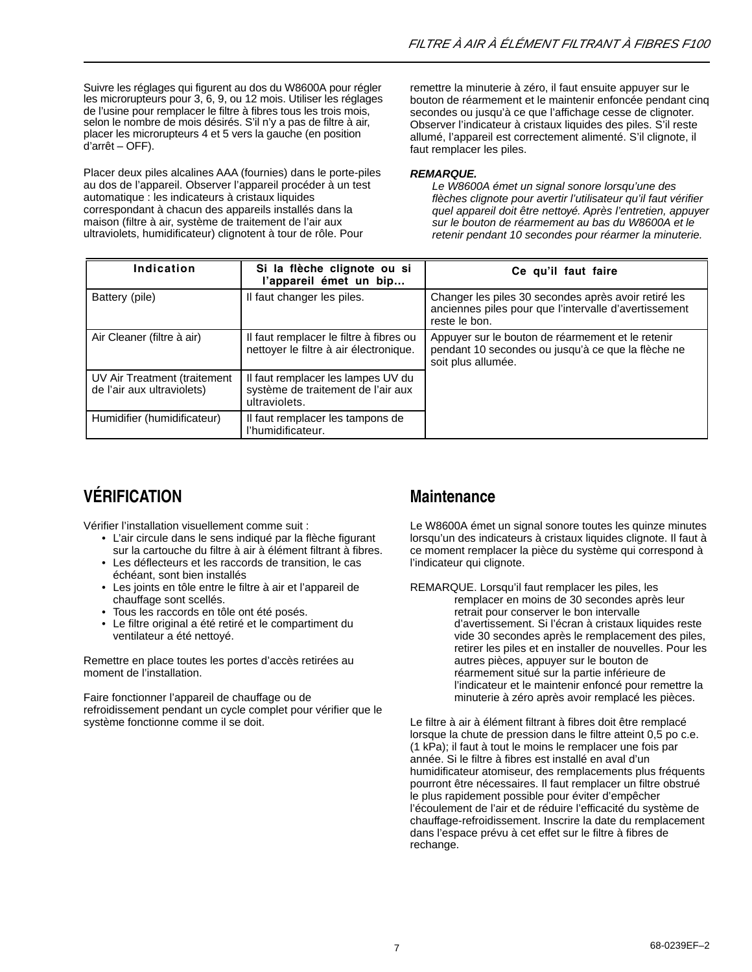Suivre les réglages qui figurent au dos du W8600A pour régler les microrupteurs pour 3, 6, 9, ou 12 mois. Utiliser les réglages de l'usine pour remplacer le filtre à fibres tous les trois mois, selon le nombre de mois désirés. S'il n'y a pas de filtre à air, placer les microrupteurs 4 et 5 vers la gauche (en position d'arrêt – OFF).

Placer deux piles alcalines AAA (fournies) dans le porte-piles au dos de l'appareil. Observer l'appareil procéder à un test automatique : les indicateurs à cristaux liquides correspondant à chacun des appareils installés dans la maison (filtre à air, système de traitement de l'air aux ultraviolets, humidificateur) clignotent à tour de rôle. Pour

remettre la minuterie à zéro, il faut ensuite appuyer sur le bouton de réarmement et le maintenir enfoncée pendant cinq secondes ou jusqu'à ce que l'affichage cesse de clignoter. Observer l'indicateur à cristaux liquides des piles. S'il reste allumé, l'appareil est correctement alimenté. S'il clignote, il faut remplacer les piles.

#### *REMARQUE.*

*Le W8600A émet un signal sonore lorsqu'une des flèches clignote pour avertir l'utilisateur qu'il faut vérifier quel appareil doit être nettoyé. Après l'entretien, appuyer sur le bouton de réarmement au bas du W8600A et le retenir pendant 10 secondes pour réarmer la minuterie.*

| Indication                                                 | Si la flèche clignote ou si<br>l'appareil émet un bip                                     | Ce qu'il faut faire                                                                                                            |
|------------------------------------------------------------|-------------------------------------------------------------------------------------------|--------------------------------------------------------------------------------------------------------------------------------|
| Battery (pile)                                             | Il faut changer les piles.                                                                | Changer les piles 30 secondes après avoir retiré les<br>anciennes piles pour que l'intervalle d'avertissement<br>reste le bon. |
| Air Cleaner (filtre à air)                                 | Il faut remplacer le filtre à fibres ou<br>nettoyer le filtre à air électronique.         | Appuyer sur le bouton de réarmement et le retenir<br>pendant 10 secondes ou jusqu'à ce que la flèche ne<br>soit plus allumée.  |
| UV Air Treatment (traitement<br>de l'air aux ultraviolets) | Il faut remplacer les lampes UV du<br>système de traitement de l'air aux<br>ultraviolets. |                                                                                                                                |
| Humidifier (humidificateur)                                | Il faut remplacer les tampons de<br>l'humidificateur.                                     |                                                                                                                                |

# **VÉRIFICATION**

Vérifier l'installation visuellement comme suit :

- L'air circule dans le sens indiqué par la flèche figurant sur la cartouche du filtre à air à élément filtrant à fibres.
- Les déflecteurs et les raccords de transition, le cas échéant, sont bien installés
- Les joints en tôle entre le filtre à air et l'appareil de chauffage sont scellés.
- Tous les raccords en tôle ont été posés.
- Le filtre original a été retiré et le compartiment du ventilateur a été nettoyé.

Remettre en place toutes les portes d'accès retirées au moment de l'installation.

Faire fonctionner l'appareil de chauffage ou de refroidissement pendant un cycle complet pour vérifier que le système fonctionne comme il se doit.

## **Maintenance**

Le W8600A émet un signal sonore toutes les quinze minutes lorsqu'un des indicateurs à cristaux liquides clignote. Il faut à ce moment remplacer la pièce du système qui correspond à l'indicateur qui clignote.

REMARQUE. Lorsqu'il faut remplacer les piles, les remplacer en moins de 30 secondes après leur retrait pour conserver le bon intervalle d'avertissement. Si l'écran à cristaux liquides reste vide 30 secondes après le remplacement des piles, retirer les piles et en installer de nouvelles. Pour les autres pièces, appuyer sur le bouton de réarmement situé sur la partie inférieure de l'indicateur et le maintenir enfoncé pour remettre la minuterie à zéro après avoir remplacé les pièces.

Le filtre à air à élément filtrant à fibres doit être remplacé lorsque la chute de pression dans le filtre atteint 0,5 po c.e. (1 kPa); il faut à tout le moins le remplacer une fois par année. Si le filtre à fibres est installé en aval d'un humidificateur atomiseur, des remplacements plus fréquents pourront être nécessaires. Il faut remplacer un filtre obstrué le plus rapidement possible pour éviter d'empêcher l'écoulement de l'air et de réduire l'efficacité du système de chauffage-refroidissement. Inscrire la date du remplacement dans l'espace prévu à cet effet sur le filtre à fibres de rechange.